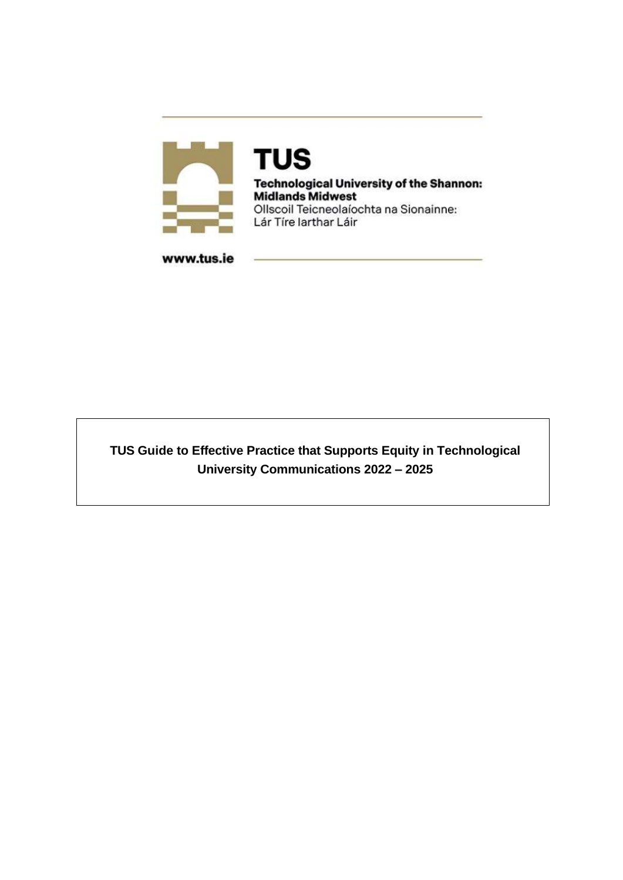

**TUS Technological University of the Shannon: Midlands Midwest** Ollscoil Teicneolaíochta na Sionainne: Lár Tíre Iarthar Láir

www.tus.ie

**TUS Guide to Effective Practice that Supports Equity in Technological University Communications 2022 – 2025**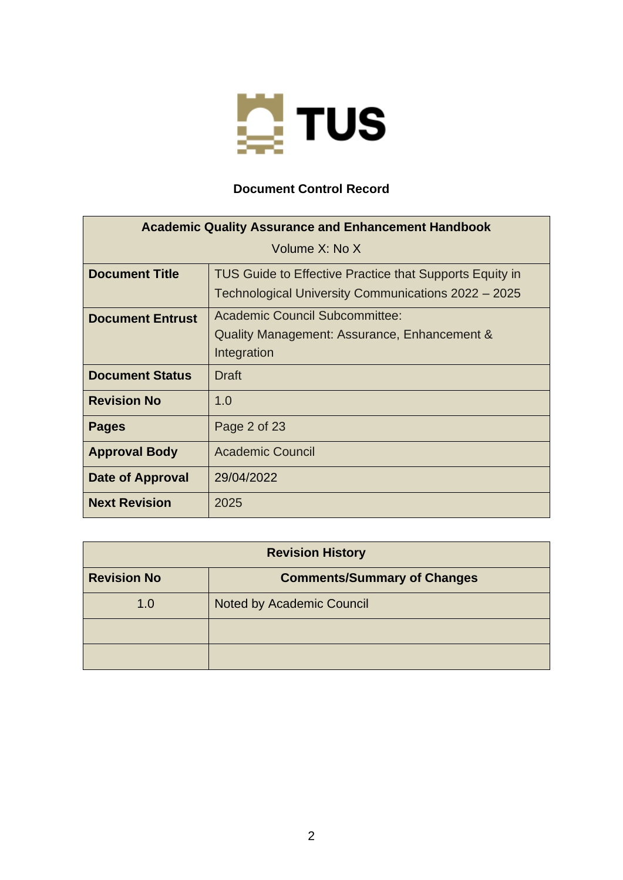

#### **Document Control Record**

| <b>Academic Quality Assurance and Enhancement Handbook</b>                                                                              |                                                                                                      |  |  |  |  |  |
|-----------------------------------------------------------------------------------------------------------------------------------------|------------------------------------------------------------------------------------------------------|--|--|--|--|--|
|                                                                                                                                         | Volume X: No X                                                                                       |  |  |  |  |  |
| <b>Document Title</b><br>TUS Guide to Effective Practice that Supports Equity in<br>Technological University Communications 2022 - 2025 |                                                                                                      |  |  |  |  |  |
| <b>Document Entrust</b>                                                                                                                 | <b>Academic Council Subcommittee:</b><br>Quality Management: Assurance, Enhancement &<br>Integration |  |  |  |  |  |
| <b>Document Status</b>                                                                                                                  | <b>Draft</b>                                                                                         |  |  |  |  |  |
| <b>Revision No</b>                                                                                                                      | 1.0                                                                                                  |  |  |  |  |  |
| <b>Pages</b>                                                                                                                            | Page 2 of 23                                                                                         |  |  |  |  |  |
| <b>Approval Body</b>                                                                                                                    | <b>Academic Council</b>                                                                              |  |  |  |  |  |
| Date of Approval                                                                                                                        | 29/04/2022                                                                                           |  |  |  |  |  |
| <b>Next Revision</b>                                                                                                                    | 2025                                                                                                 |  |  |  |  |  |

| <b>Revision History</b>                                  |                           |  |  |  |
|----------------------------------------------------------|---------------------------|--|--|--|
| <b>Revision No</b><br><b>Comments/Summary of Changes</b> |                           |  |  |  |
| 1.0                                                      | Noted by Academic Council |  |  |  |
|                                                          |                           |  |  |  |
|                                                          |                           |  |  |  |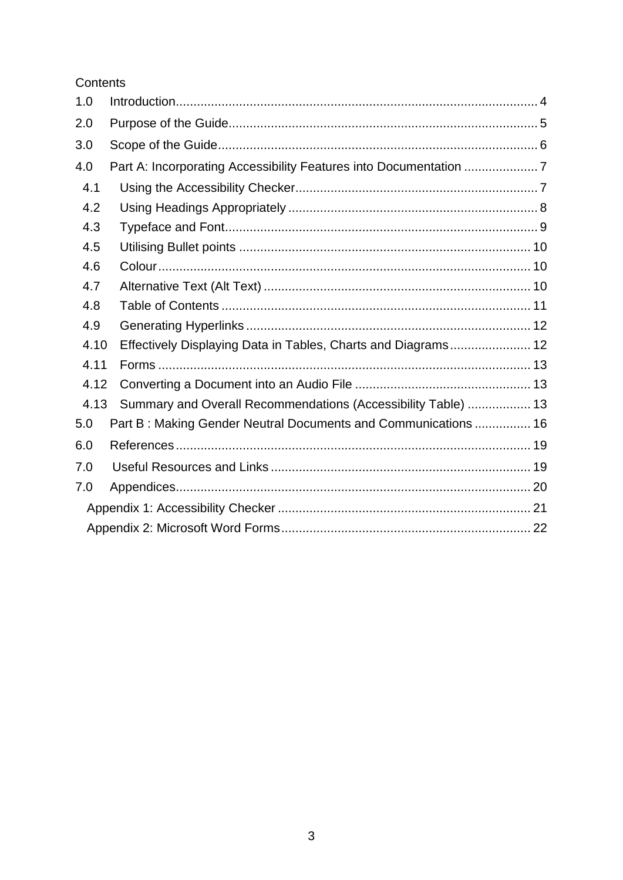## Contents

| 1.0  |                                                                   |  |
|------|-------------------------------------------------------------------|--|
| 2.0  |                                                                   |  |
| 3.0  |                                                                   |  |
| 4.0  | Part A: Incorporating Accessibility Features into Documentation 7 |  |
| 4.1  |                                                                   |  |
| 4.2  |                                                                   |  |
| 4.3  |                                                                   |  |
| 4.5  |                                                                   |  |
| 4.6  |                                                                   |  |
| 4.7  |                                                                   |  |
| 4.8  |                                                                   |  |
| 4.9  |                                                                   |  |
| 4.10 | Effectively Displaying Data in Tables, Charts and Diagrams 12     |  |
| 4.11 |                                                                   |  |
| 4.12 |                                                                   |  |
| 4.13 | Summary and Overall Recommendations (Accessibility Table)  13     |  |
| 5.0  | Part B: Making Gender Neutral Documents and Communications  16    |  |
| 6.0  |                                                                   |  |
| 7.0  |                                                                   |  |
| 7.0  |                                                                   |  |
|      |                                                                   |  |
|      |                                                                   |  |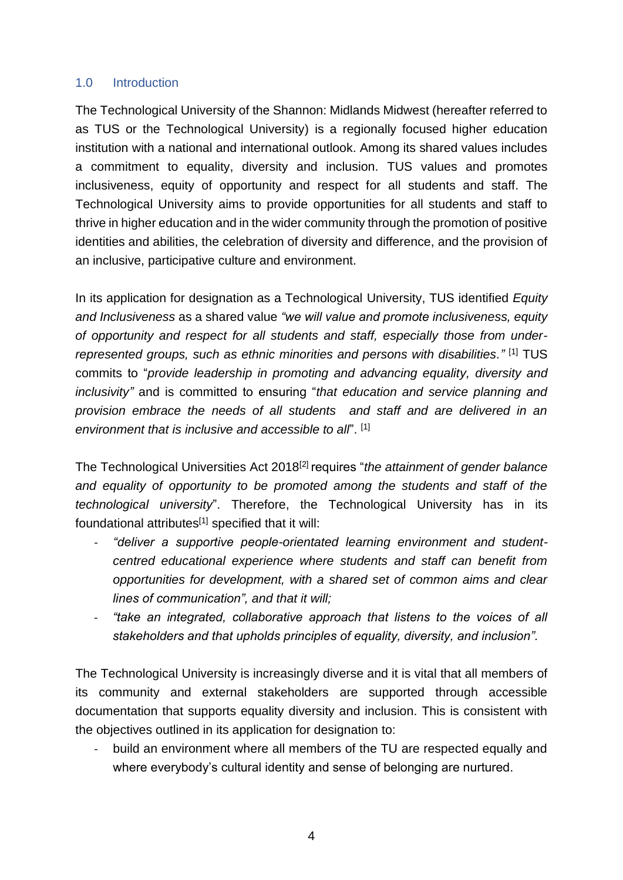#### <span id="page-3-0"></span>1.0 Introduction

The Technological University of the Shannon: Midlands Midwest (hereafter referred to as TUS or the Technological University) is a regionally focused higher education institution with a national and international outlook. Among its shared values includes a commitment to equality, diversity and inclusion. TUS values and promotes inclusiveness, equity of opportunity and respect for all students and staff. The Technological University aims to provide opportunities for all students and staff to thrive in higher education and in the wider community through the promotion of positive identities and abilities, the celebration of diversity and difference, and the provision of an inclusive, participative culture and environment.

In its application for designation as a Technological University, TUS identified *Equity and Inclusiveness* as a shared value *"we will value and promote inclusiveness, equity of opportunity and respect for all students and staff, especially those from under*represented groups, such as ethnic minorities and persons with disabilities."<sup>[1]</sup> TUS commits to "*provide leadership in promoting and advancing equality, diversity and inclusivity"* and is committed to ensuring "*that education and service planning and provision embrace the needs of all students and staff and are delivered in an environment that is inclusive and accessible to all*". [1]

The Technological Universities Act 2018[2] requires "*the attainment of gender balance and equality of opportunity to be promoted among the students and staff of the technological university*". Therefore, the Technological University has in its foundational attributes<sup>[1]</sup> specified that it will:

- *"deliver a supportive people-orientated learning environment and studentcentred educational experience where students and staff can benefit from opportunities for development, with a shared set of common aims and clear lines of communication", and that it will;*
- *"take an integrated, collaborative approach that listens to the voices of all stakeholders and that upholds principles of equality, diversity, and inclusion".*

The Technological University is increasingly diverse and it is vital that all members of its community and external stakeholders are supported through accessible documentation that supports equality diversity and inclusion. This is consistent with the objectives outlined in its application for designation to:

- build an environment where all members of the TU are respected equally and where everybody's cultural identity and sense of belonging are nurtured.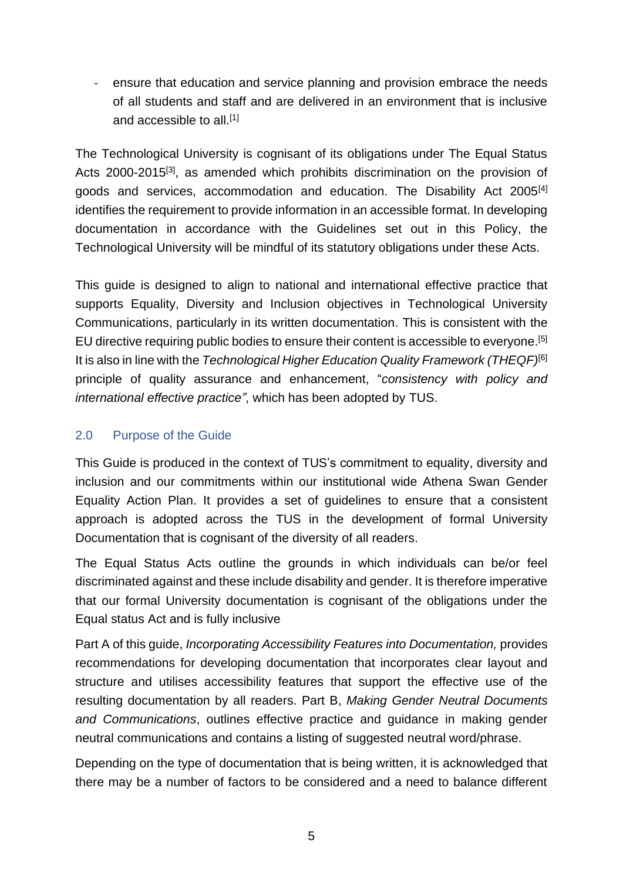- ensure that education and service planning and provision embrace the needs of all students and staff and are delivered in an environment that is inclusive and accessible to all.<sup>[1]</sup>

The Technological University is cognisant of its obligations under The Equal Status Acts 2000-2015<sup>[3]</sup>, as amended which prohibits discrimination on the provision of goods and services, accommodation and education. The Disability Act 2005[4] identifies the requirement to provide information in an accessible format. In developing documentation in accordance with the Guidelines set out in this Policy, the Technological University will be mindful of its statutory obligations under these Acts.

This guide is designed to align to national and international effective practice that supports Equality, Diversity and Inclusion objectives in Technological University Communications, particularly in its written documentation. This is consistent with the EU directive requiring public bodies to ensure their content is accessible to everyone. [5] It is also in line with the *Technological Higher Education Quality Framework (THEQF)* [6] principle of quality assurance and enhancement, "*consistency with policy and international effective practice"*, which has been adopted by TUS.

## <span id="page-4-0"></span>2.0 Purpose of the Guide

This Guide is produced in the context of TUS's commitment to equality, diversity and inclusion and our commitments within our institutional wide Athena Swan Gender Equality Action Plan. It provides a set of guidelines to ensure that a consistent approach is adopted across the TUS in the development of formal University Documentation that is cognisant of the diversity of all readers.

The Equal Status Acts outline the grounds in which individuals can be/or feel discriminated against and these include disability and gender. It is therefore imperative that our formal University documentation is cognisant of the obligations under the Equal status Act and is fully inclusive

Part A of this guide, *Incorporating Accessibility Features into Documentation,* provides recommendations for developing documentation that incorporates clear layout and structure and utilises accessibility features that support the effective use of the resulting documentation by all readers. Part B, *Making Gender Neutral Documents and Communications*, outlines effective practice and guidance in making gender neutral communications and contains a listing of suggested neutral word/phrase.

Depending on the type of documentation that is being written, it is acknowledged that there may be a number of factors to be considered and a need to balance different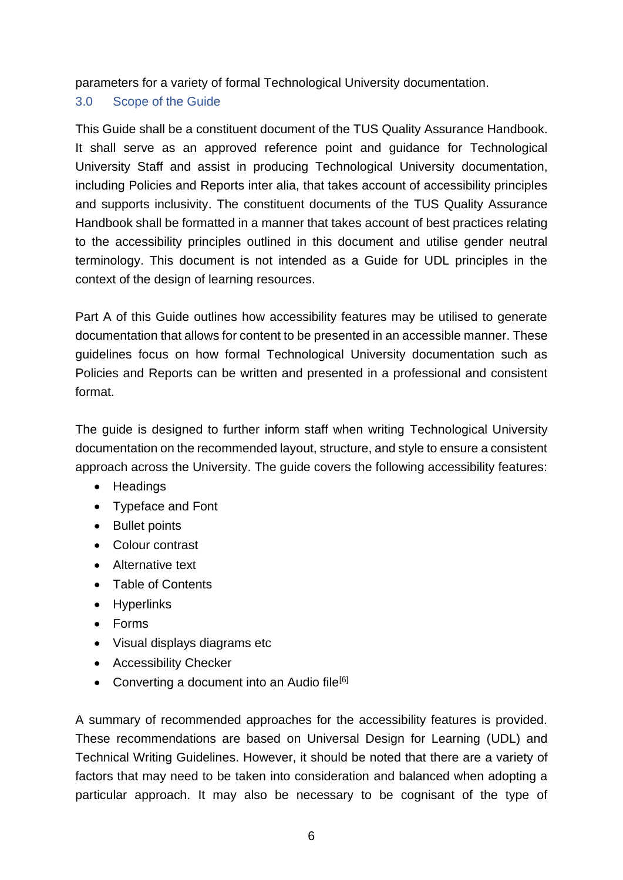parameters for a variety of formal Technological University documentation.

## <span id="page-5-0"></span>3.0 Scope of the Guide

This Guide shall be a constituent document of the TUS Quality Assurance Handbook. It shall serve as an approved reference point and guidance for Technological University Staff and assist in producing Technological University documentation, including Policies and Reports inter alia, that takes account of accessibility principles and supports inclusivity. The constituent documents of the TUS Quality Assurance Handbook shall be formatted in a manner that takes account of best practices relating to the accessibility principles outlined in this document and utilise gender neutral terminology. This document is not intended as a Guide for UDL principles in the context of the design of learning resources.

Part A of this Guide outlines how accessibility features may be utilised to generate documentation that allows for content to be presented in an accessible manner. These guidelines focus on how formal Technological University documentation such as Policies and Reports can be written and presented in a professional and consistent format.

The guide is designed to further inform staff when writing Technological University documentation on the recommended layout, structure, and style to ensure a consistent approach across the University. The guide covers the following accessibility features:

- Headings
- Typeface and Font
- Bullet points
- Colour contrast
- Alternative text
- Table of Contents
- Hyperlinks
- Forms
- Visual displays diagrams etc
- Accessibility Checker
- Converting a document into an Audio file<sup>[6]</sup>

A summary of recommended approaches for the accessibility features is provided. These recommendations are based on Universal Design for Learning (UDL) and Technical Writing Guidelines. However, it should be noted that there are a variety of factors that may need to be taken into consideration and balanced when adopting a particular approach. It may also be necessary to be cognisant of the type of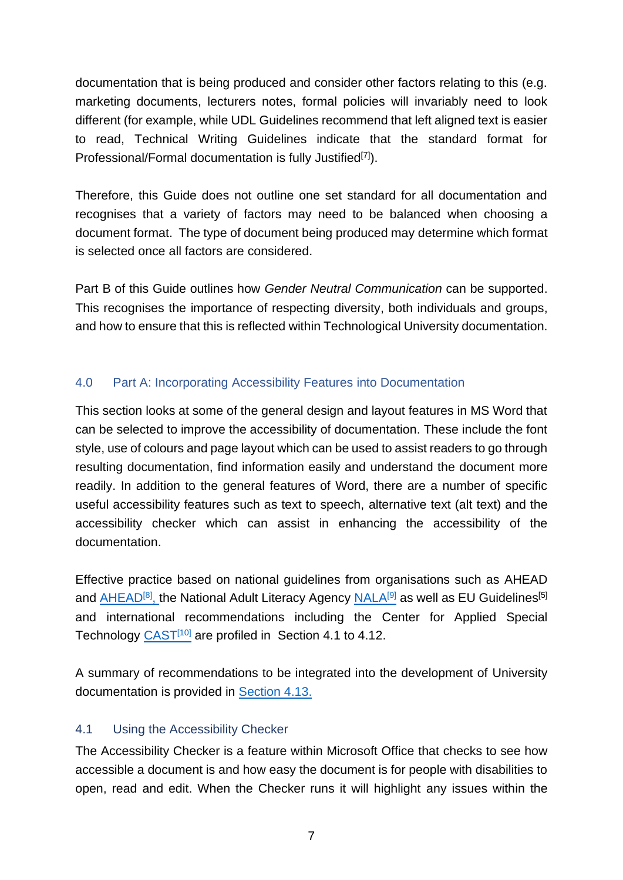documentation that is being produced and consider other factors relating to this (e.g. marketing documents, lecturers notes, formal policies will invariably need to look different (for example, while UDL Guidelines recommend that left aligned text is easier to read, Technical Writing Guidelines indicate that the standard format for Professional/Formal documentation is fully Justified<sup>[7]</sup>).

Therefore, this Guide does not outline one set standard for all documentation and recognises that a variety of factors may need to be balanced when choosing a document format. The type of document being produced may determine which format is selected once all factors are considered.

Part B of this Guide outlines how *Gender Neutral Communication* can be supported. This recognises the importance of respecting diversity, both individuals and groups, and how to ensure that this is reflected within Technological University documentation.

## <span id="page-6-0"></span>4.0 Part A: Incorporating Accessibility Features into Documentation

This section looks at some of the general design and layout features in MS Word that can be selected to improve the accessibility of documentation. These include the font style, use of colours and page layout which can be used to assist readers to go through resulting documentation, find information easily and understand the document more readily. In addition to the general features of Word, there are a number of specific useful accessibility features such as text to speech, alternative text (alt text) and the accessibility checker which can assist in enhancing the accessibility of the documentation.

Effective practice based on national guidelines from organisations such as AHEAD and **AHEAD<sup>[8]</sup>, the National Adult Literacy Agency [NALA](https://www.nala.ie/)<sup>[9]</sup> as well as EU Guidelines<sup>[5]</sup>** and international recommendations including the Center for Applied Special Technology [CAST](https://www.cast.org/)<sup>[10]</sup> are profiled in Section 4.1 to 4.12.

A summary of recommendations to be integrated into the development of University documentation is provided in [Section 4.13.](#page-12-2)

#### <span id="page-6-1"></span>4.1 Using the Accessibility Checker

The Accessibility Checker is a feature within Microsoft Office that checks to see how accessible a document is and how easy the document is for people with disabilities to open, read and edit. When the Checker runs it will highlight any issues within the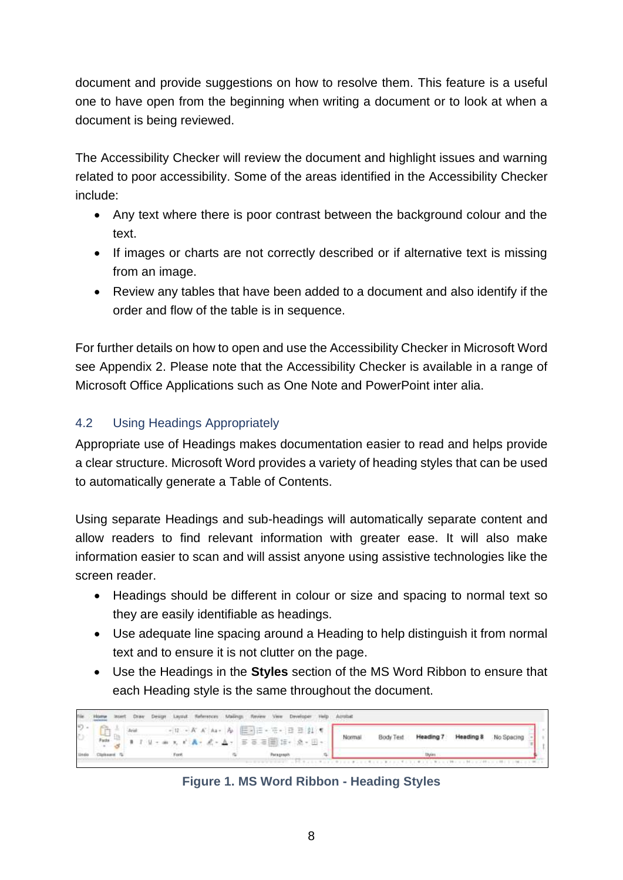document and provide suggestions on how to resolve them. This feature is a useful one to have open from the beginning when writing a document or to look at when a document is being reviewed.

The Accessibility Checker will review the document and highlight issues and warning related to poor accessibility. Some of the areas identified in the Accessibility Checker include:

- Any text where there is poor contrast between the background colour and the text.
- If images or charts are not correctly described or if alternative text is missing from an image.
- Review any tables that have been added to a document and also identify if the order and flow of the table is in sequence.

For further details on how to open and use the Accessibility Checker in Microsoft Word see Appendix 2. Please note that the Accessibility Checker is available in a range of Microsoft Office Applications such as One Note and PowerPoint inter alia.

## <span id="page-7-0"></span>4.2 Using Headings Appropriately

Appropriate use of Headings makes documentation easier to read and helps provide a clear structure. Microsoft Word provides a variety of heading styles that can be used to automatically generate a Table of Contents.

Using separate Headings and sub-headings will automatically separate content and allow readers to find relevant information with greater ease. It will also make information easier to scan and will assist anyone using assistive technologies like the screen reader.

- Headings should be different in colour or size and spacing to normal text so they are easily identifiable as headings.
- Use adequate line spacing around a Heading to help distinguish it from normal text and to ensure it is not clutter on the page.
- Use the Headings in the **Styles** section of the MS Word Ribbon to ensure that each Heading style is the same throughout the document.



**Figure 1. MS Word Ribbon - Heading Styles**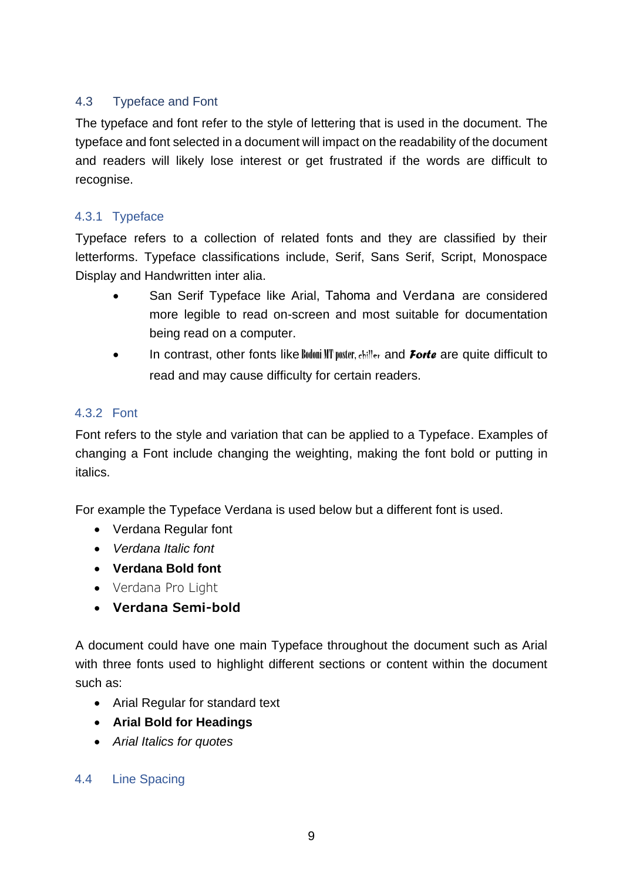## <span id="page-8-0"></span>4.3 Typeface and Font

The typeface and font refer to the style of lettering that is used in the document. The typeface and font selected in a document will impact on the readability of the document and readers will likely lose interest or get frustrated if the words are difficult to recognise.

#### 4.3.1 Typeface

Typeface refers to a collection of related fonts and they are classified by their letterforms. Typeface classifications include, Serif, Sans Serif, Script, Monospace Display and Handwritten inter alia.

- San Serif Typeface like Arial, Tahoma and Verdana are considered more legible to read on-screen and most suitable for documentation being read on a computer.
- In contrast, other fonts like Bodoni MT poster, chiller and *Forte* are quite difficult to read and may cause difficulty for certain readers.

#### 4.3.2 Font

Font refers to the style and variation that can be applied to a Typeface. Examples of changing a Font include changing the weighting, making the font bold or putting in italics.

For example the Typeface Verdana is used below but a different font is used.

- Verdana Regular font
- *Verdana Italic font*
- **Verdana Bold font**
- Verdana Pro Light
- **Verdana Semi-bold**

A document could have one main Typeface throughout the document such as Arial with three fonts used to highlight different sections or content within the document such as:

- Arial Regular for standard text
- **Arial Bold for Headings**
- *Arial Italics for quotes*

#### 4.4 Line Spacing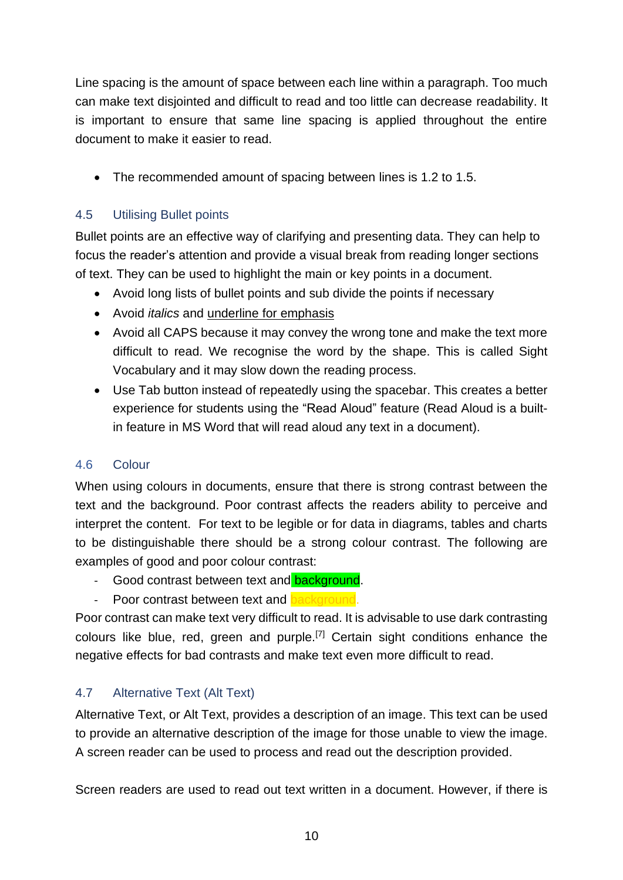Line spacing is the amount of space between each line within a paragraph. Too much can make text disjointed and difficult to read and too little can decrease readability. It is important to ensure that same line spacing is applied throughout the entire document to make it easier to read.

• The recommended amount of spacing between lines is 1.2 to 1.5.

## <span id="page-9-0"></span>4.5 Utilising Bullet points

Bullet points are an effective way of clarifying and presenting data. They can help to focus the reader's attention and provide a visual break from reading longer sections of text. They can be used to highlight the main or key points in a document.

- Avoid long lists of bullet points and sub divide the points if necessary
- Avoid *italics* and underline for emphasis
- Avoid all CAPS because it may convey the wrong tone and make the text more difficult to read. We recognise the word by the shape. This is called Sight Vocabulary and it may slow down the reading process.
- Use Tab button instead of repeatedly using the spacebar. This creates a better experience for students using the "Read Aloud" feature (Read Aloud is a builtin feature in MS Word that will read aloud any text in a document).

## <span id="page-9-1"></span>4.6 Colour

When using colours in documents, ensure that there is strong contrast between the text and the background. Poor contrast affects the readers ability to perceive and interpret the content. For text to be legible or for data in diagrams, tables and charts to be distinguishable there should be a strong colour contrast. The following are examples of good and poor colour contrast:

- Good contrast between text and background.
- Poor contrast between text and **background**.

Poor contrast can make text very difficult to read. It is advisable to use dark contrasting colours like blue, red, green and purple.[7] Certain sight conditions enhance the negative effects for bad contrasts and make text even more difficult to read.

## <span id="page-9-2"></span>4.7 Alternative Text (Alt Text)

Alternative Text, or Alt Text, provides a description of an image. This text can be used to provide an alternative description of the image for those unable to view the image. A screen reader can be used to process and read out the description provided.

Screen readers are used to read out text written in a document. However, if there is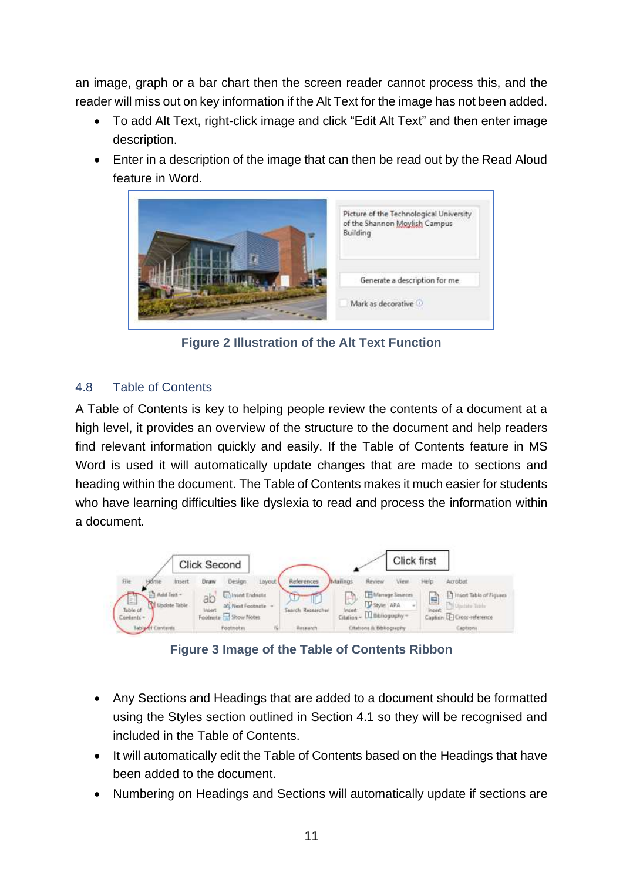an image, graph or a bar chart then the screen reader cannot process this, and the reader will miss out on key information if the Alt Text for the image has not been added.

- To add Alt Text, right-click image and click "Edit Alt Text" and then enter image description.
- Enter in a description of the image that can then be read out by the Read Aloud feature in Word.



**Figure 2 Illustration of the Alt Text Function**

## <span id="page-10-0"></span>4.8 Table of Contents

A Table of Contents is key to helping people review the contents of a document at a high level, it provides an overview of the structure to the document and help readers find relevant information quickly and easily. If the Table of Contents feature in MS Word is used it will automatically update changes that are made to sections and heading within the document. The Table of Contents makes it much easier for students who have learning difficulties like dyslexia to read and process the information within a document.



**Figure 3 Image of the Table of Contents Ribbon**

- Any Sections and Headings that are added to a document should be formatted using the Styles section outlined in Section 4.1 so they will be recognised and included in the Table of Contents.
- It will automatically edit the Table of Contents based on the Headings that have been added to the document.
- Numbering on Headings and Sections will automatically update if sections are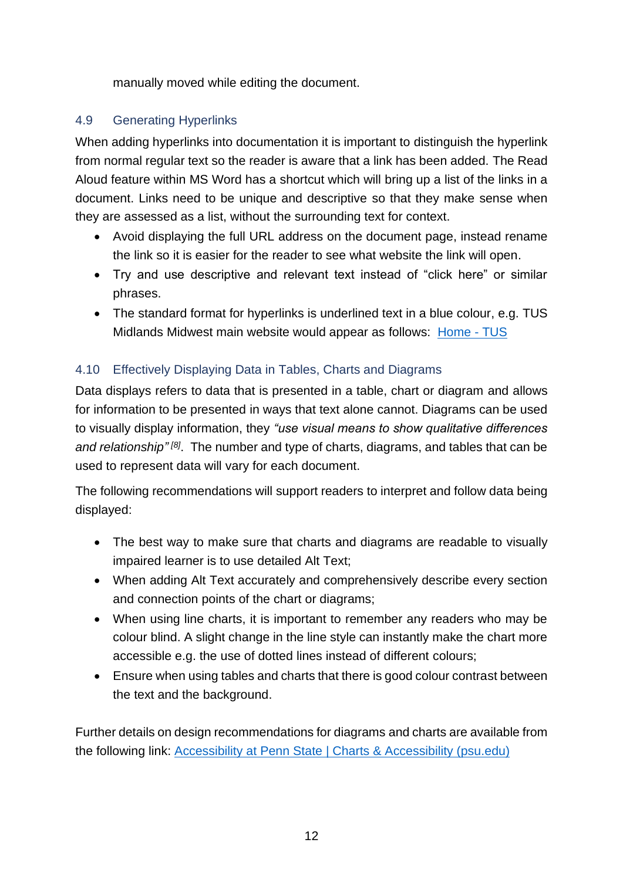manually moved while editing the document.

## <span id="page-11-0"></span>4.9 Generating Hyperlinks

When adding hyperlinks into documentation it is important to distinguish the hyperlink from normal regular text so the reader is aware that a link has been added. The Read Aloud feature within MS Word has a shortcut which will bring up a list of the links in a document. Links need to be unique and descriptive so that they make sense when they are assessed as a list, without the surrounding text for context.

- Avoid displaying the full URL address on the document page, instead rename the link so it is easier for the reader to see what website the link will open.
- Try and use descriptive and relevant text instead of "click here" or similar phrases.
- The standard format for hyperlinks is underlined text in a blue colour, e.g. TUS Midlands Midwest main website would appear as follows: [Home -](https://tus.ie/) TUS

# <span id="page-11-1"></span>4.10 Effectively Displaying Data in Tables, Charts and Diagrams

Data displays refers to data that is presented in a table, chart or diagram and allows for information to be presented in ways that text alone cannot. Diagrams can be used to visually display information, they *"use visual means to show qualitative differences*  and relationship<sup>" [8]</sup>. The number and type of charts, diagrams, and tables that can be used to represent data will vary for each document.

The following recommendations will support readers to interpret and follow data being displayed:

- The best way to make sure that charts and diagrams are readable to visually impaired learner is to use detailed Alt Text;
- When adding Alt Text accurately and comprehensively describe every section and connection points of the chart or diagrams;
- When using line charts, it is important to remember any readers who may be colour blind. A slight change in the line style can instantly make the chart more accessible e.g. the use of dotted lines instead of different colours;
- Ensure when using tables and charts that there is good colour contrast between the text and the background.

Further details on design recommendations for diagrams and charts are available from the following link: [Accessibility at Penn State | Charts & Accessibility \(psu.edu\)](https://accessibility.psu.edu/images/charts/)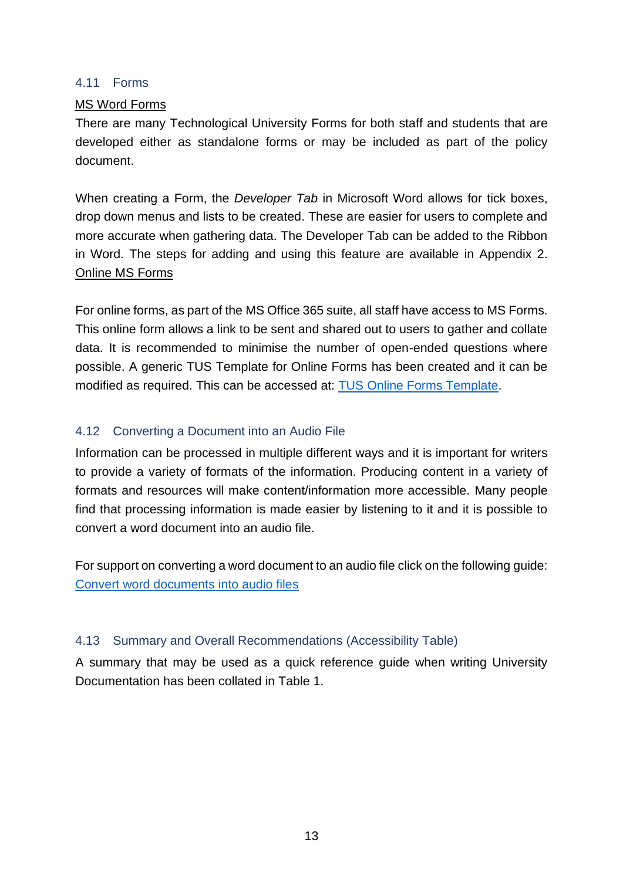#### <span id="page-12-0"></span>4.11 Forms

#### MS Word Forms

There are many Technological University Forms for both staff and students that are developed either as standalone forms or may be included as part of the policy document.

When creating a Form, the *Developer Tab* in Microsoft Word allows for tick boxes, drop down menus and lists to be created. These are easier for users to complete and more accurate when gathering data. The Developer Tab can be added to the Ribbon in Word. The steps for adding and using this feature are available in Appendix 2. Online MS Forms

For online forms, as part of the MS Office 365 suite, all staff have access to MS Forms. This online form allows a link to be sent and shared out to users to gather and collate data. It is recommended to minimise the number of open-ended questions where possible. A generic TUS Template for Online Forms has been created and it can be modified as required. This can be accessed at: TUS [Online Forms](https://forms.office.com/Pages/ShareFormPage.aspx?id=ma6_YTgGrECcOkZcQFn5brUqiyQvBMRBjsbYUmiTB_xUNzE5VjlKNFBaTVlIWVVUQUpUMlRYTjg4Ri4u&sharetoken=rLajrmiCtcMX2JxSCaL7) Template.

#### <span id="page-12-1"></span>4.12 Converting a Document into an Audio File

Information can be processed in multiple different ways and it is important for writers to provide a variety of formats of the information. Producing content in a variety of formats and resources will make content/information more accessible. Many people find that processing information is made easier by listening to it and it is possible to convert a word document into an audio file.

For support on converting a word document to an audio file click on the following guide: [Convert word documents into audio files](https://ally.ac/covid19/)

#### <span id="page-12-2"></span>4.13 Summary and Overall Recommendations (Accessibility Table)

A summary that may be used as a quick reference guide when writing University Documentation has been collated in Table 1.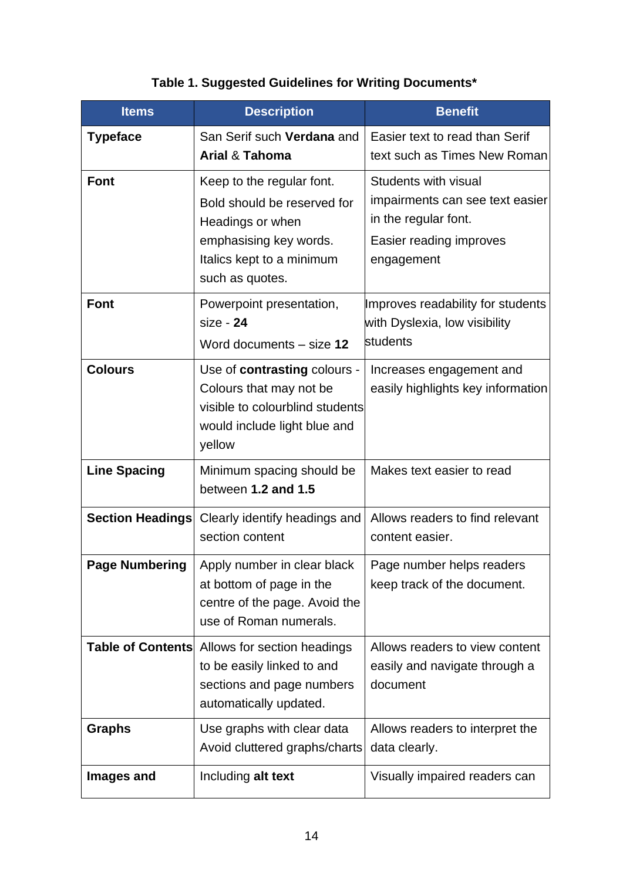| <b>Items</b>             | <b>Description</b>                                                                                                                                     | <b>Benefit</b>                                                                                                                  |
|--------------------------|--------------------------------------------------------------------------------------------------------------------------------------------------------|---------------------------------------------------------------------------------------------------------------------------------|
| <b>Typeface</b>          | San Serif such Verdana and<br><b>Arial &amp; Tahoma</b>                                                                                                | Easier text to read than Serif<br>text such as Times New Roman                                                                  |
| <b>Font</b>              | Keep to the regular font.<br>Bold should be reserved for<br>Headings or when<br>emphasising key words.<br>Italics kept to a minimum<br>such as quotes. | <b>Students with visual</b><br>impairments can see text easier<br>in the regular font.<br>Easier reading improves<br>engagement |
| <b>Font</b>              | Powerpoint presentation,<br>$size - 24$<br>Word documents - size 12                                                                                    | Improves readability for students<br>with Dyslexia, low visibility<br>students                                                  |
| <b>Colours</b>           | Use of contrasting colours -<br>Colours that may not be<br>visible to colourblind students<br>would include light blue and<br>yellow                   | Increases engagement and<br>easily highlights key information                                                                   |
| <b>Line Spacing</b>      | Minimum spacing should be<br>between 1.2 and 1.5                                                                                                       | Makes text easier to read                                                                                                       |
| <b>Section Headings</b>  | Clearly identify headings and<br>section content                                                                                                       | Allows readers to find relevant<br>content easier.                                                                              |
|                          | Page Numbering   Apply number in clear black<br>at bottom of page in the<br>centre of the page. Avoid the<br>use of Roman numerals.                    | Page number helps readers<br>keep track of the document.                                                                        |
| <b>Table of Contents</b> | Allows for section headings<br>to be easily linked to and<br>sections and page numbers<br>automatically updated.                                       | Allows readers to view content<br>easily and navigate through a<br>document                                                     |
| <b>Graphs</b>            | Use graphs with clear data<br>Avoid cluttered graphs/charts                                                                                            | Allows readers to interpret the<br>data clearly.                                                                                |
| Images and               | Including alt text                                                                                                                                     | Visually impaired readers can                                                                                                   |

# **Table 1. Suggested Guidelines for Writing Documents\***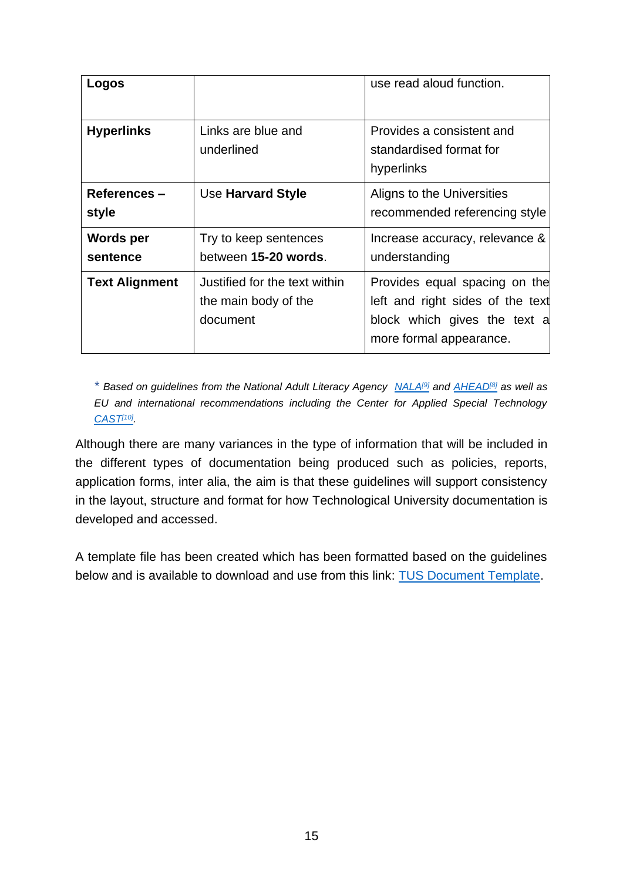| Logos                 |                                                                   | use read aloud function.                                                                                                     |
|-----------------------|-------------------------------------------------------------------|------------------------------------------------------------------------------------------------------------------------------|
| <b>Hyperlinks</b>     | Links are blue and<br>underlined                                  | Provides a consistent and<br>standardised format for<br>hyperlinks                                                           |
| References-<br>style  | Use Harvard Style                                                 | Aligns to the Universities<br>recommended referencing style                                                                  |
| Words per<br>sentence | Try to keep sentences<br>between 15-20 words.                     | Increase accuracy, relevance &<br>understanding                                                                              |
| <b>Text Alignment</b> | Justified for the text within<br>the main body of the<br>document | Provides equal spacing on the<br>left and right sides of the text<br>block which gives the text a<br>more formal appearance. |

*\* Based on guidelines from the National Adult Literacy Agency [NALA](https://www.nala.ie/)[9] and [AHEAD](https://www.ahead.ie/)[8] as well as EU and international recommendations including the Center for Applied Special Technology [CAST](https://www.cast.org/)[10] .*

Although there are many variances in the type of information that will be included in the different types of documentation being produced such as policies, reports, application forms, inter alia, the aim is that these guidelines will support consistency in the layout, structure and format for how Technological University documentation is developed and accessed.

A template file has been created which has been formatted based on the guidelines below and is available to download and use from this link: [TUS Document Template.](https://studentlit-my.sharepoint.com/:w:/g/personal/patrick_fitzgerald_lit_ie/EdRyoSAVXzJArNVCh4SS0HMBKXCTgHsmE9hO9imPwxmZDg?e=WaxLT3)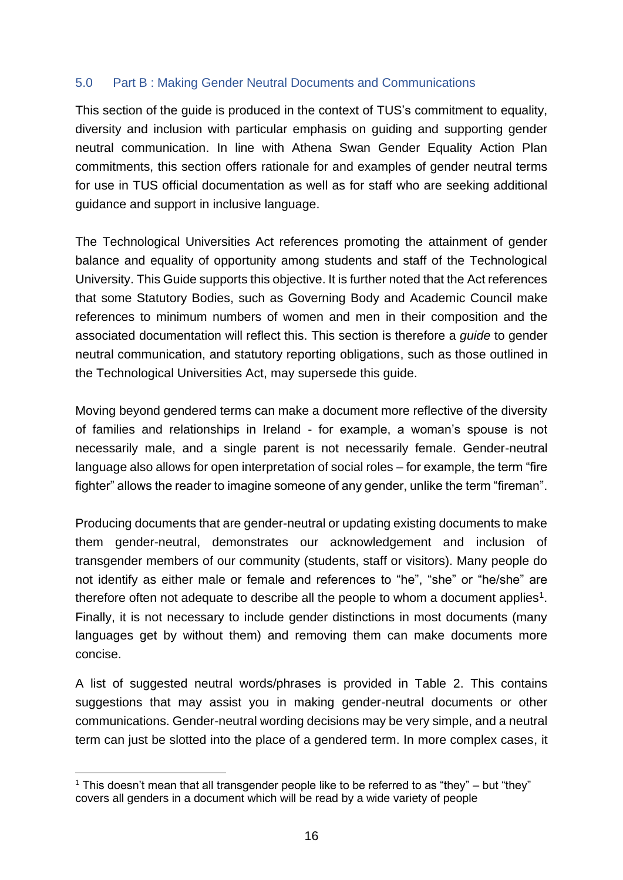#### <span id="page-15-0"></span>5.0 Part B : Making Gender Neutral Documents and Communications

This section of the guide is produced in the context of TUS's commitment to equality, diversity and inclusion with particular emphasis on guiding and supporting gender neutral communication. In line with Athena Swan Gender Equality Action Plan commitments, this section offers rationale for and examples of gender neutral terms for use in TUS official documentation as well as for staff who are seeking additional guidance and support in inclusive language.

The Technological Universities Act references promoting the attainment of gender balance and equality of opportunity among students and staff of the Technological University. This Guide supports this objective. It is further noted that the Act references that some Statutory Bodies, such as Governing Body and Academic Council make references to minimum numbers of women and men in their composition and the associated documentation will reflect this. This section is therefore a *guide* to gender neutral communication, and statutory reporting obligations, such as those outlined in the Technological Universities Act, may supersede this guide.

Moving beyond gendered terms can make a document more reflective of the diversity of families and relationships in Ireland - for example, a woman's spouse is not necessarily male, and a single parent is not necessarily female. Gender-neutral language also allows for open interpretation of social roles – for example, the term "fire fighter" allows the reader to imagine someone of any gender, unlike the term "fireman".

Producing documents that are gender-neutral or updating existing documents to make them gender-neutral, demonstrates our acknowledgement and inclusion of transgender members of our community (students, staff or visitors). Many people do not identify as either male or female and references to "he", "she" or "he/she" are therefore often not adequate to describe all the people to whom a document applies<sup>1</sup>. Finally, it is not necessary to include gender distinctions in most documents (many languages get by without them) and removing them can make documents more concise.

A list of suggested neutral words/phrases is provided in Table 2. This contains suggestions that may assist you in making gender-neutral documents or other communications. Gender-neutral wording decisions may be very simple, and a neutral term can just be slotted into the place of a gendered term. In more complex cases, it

<sup>&</sup>lt;sup>1</sup> This doesn't mean that all transgender people like to be referred to as "they" – but "they" covers all genders in a document which will be read by a wide variety of people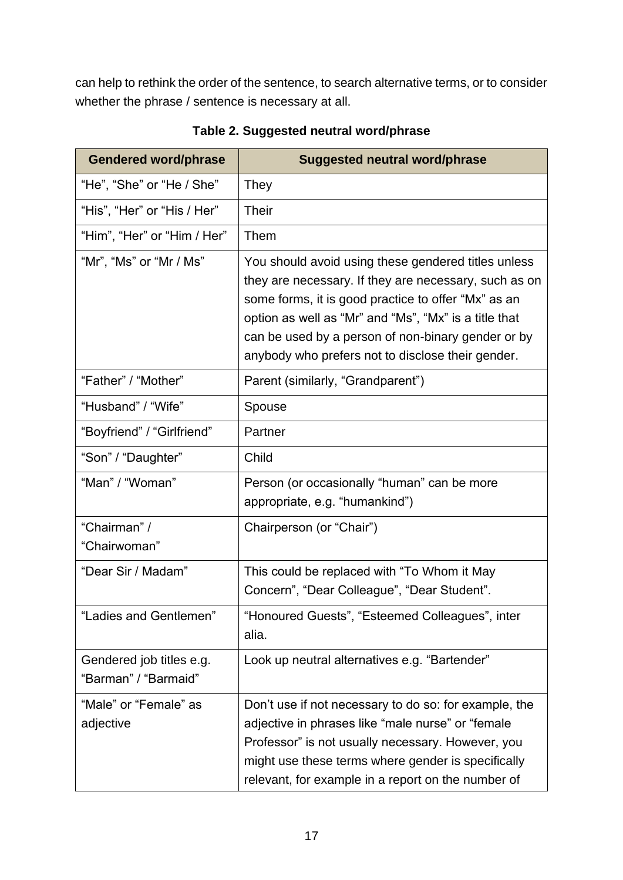can help to rethink the order of the sentence, to search alternative terms, or to consider whether the phrase / sentence is necessary at all.

| <b>Gendered word/phrase</b>                      | <b>Suggested neutral word/phrase</b>                                                                                                                                                                                                                                                                                                    |
|--------------------------------------------------|-----------------------------------------------------------------------------------------------------------------------------------------------------------------------------------------------------------------------------------------------------------------------------------------------------------------------------------------|
| "He", "She" or "He / She"                        | They                                                                                                                                                                                                                                                                                                                                    |
| "His", "Her" or "His / Her"                      | <b>Their</b>                                                                                                                                                                                                                                                                                                                            |
| "Him", "Her" or "Him / Her"                      | Them                                                                                                                                                                                                                                                                                                                                    |
| "Mr", "Ms" or "Mr / Ms"                          | You should avoid using these gendered titles unless<br>they are necessary. If they are necessary, such as on<br>some forms, it is good practice to offer "Mx" as an<br>option as well as "Mr" and "Ms", "Mx" is a title that<br>can be used by a person of non-binary gender or by<br>anybody who prefers not to disclose their gender. |
| "Father" / "Mother"                              | Parent (similarly, "Grandparent")                                                                                                                                                                                                                                                                                                       |
| "Husband" / "Wife"                               | Spouse                                                                                                                                                                                                                                                                                                                                  |
| "Boyfriend" / "Girlfriend"                       | Partner                                                                                                                                                                                                                                                                                                                                 |
| "Son" / "Daughter"                               | Child                                                                                                                                                                                                                                                                                                                                   |
| "Man" / "Woman"                                  | Person (or occasionally "human" can be more<br>appropriate, e.g. "humankind")                                                                                                                                                                                                                                                           |
| "Chairman" /<br>"Chairwoman"                     | Chairperson (or "Chair")                                                                                                                                                                                                                                                                                                                |
| "Dear Sir / Madam"                               | This could be replaced with "To Whom it May<br>Concern", "Dear Colleague", "Dear Student".                                                                                                                                                                                                                                              |
| "Ladies and Gentlemen"                           | "Honoured Guests", "Esteemed Colleagues", inter<br>alia.                                                                                                                                                                                                                                                                                |
| Gendered job titles e.g.<br>"Barman" / "Barmaid" | Look up neutral alternatives e.g. "Bartender"                                                                                                                                                                                                                                                                                           |
| "Male" or "Female" as<br>adjective               | Don't use if not necessary to do so: for example, the<br>adjective in phrases like "male nurse" or "female<br>Professor" is not usually necessary. However, you<br>might use these terms where gender is specifically<br>relevant, for example in a report on the number of                                                             |

**Table 2. Suggested neutral word/phrase**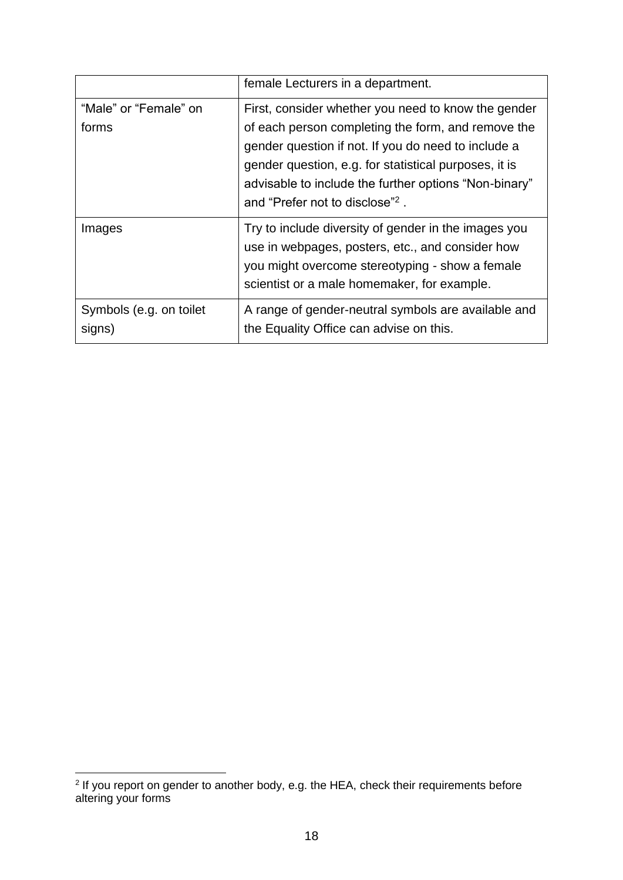|                         | female Lecturers in a department.                     |
|-------------------------|-------------------------------------------------------|
| "Male" or "Female" on   | First, consider whether you need to know the gender   |
| forms                   | of each person completing the form, and remove the    |
|                         | gender question if not. If you do need to include a   |
|                         | gender question, e.g. for statistical purposes, it is |
|                         | advisable to include the further options "Non-binary" |
|                         | and "Prefer not to disclose" <sup>2</sup> .           |
| Images                  | Try to include diversity of gender in the images you  |
|                         | use in webpages, posters, etc., and consider how      |
|                         | you might overcome stereotyping - show a female       |
|                         | scientist or a male homemaker, for example.           |
| Symbols (e.g. on toilet | A range of gender-neutral symbols are available and   |
| signs)                  | the Equality Office can advise on this.               |

<sup>&</sup>lt;sup>2</sup> If you report on gender to another body, e.g. the HEA, check their requirements before altering your forms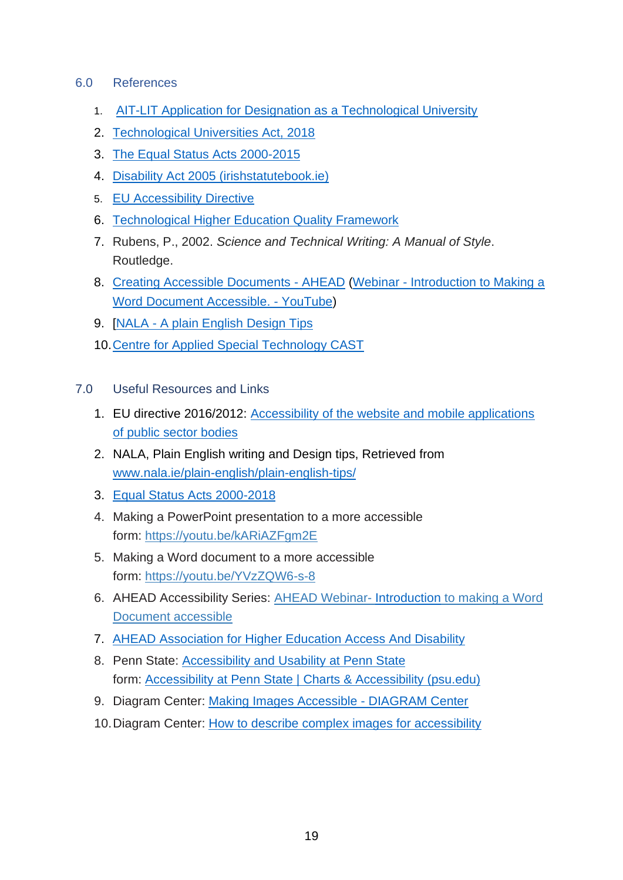#### <span id="page-18-0"></span>6.0 References

- 1. [AIT-LIT Application for Designation as a Technological University](https://studentlit.sharepoint.com/Staff/Executive/President/Shared%20Documents/TU%20Application/AIT-LIT%20Application%20Document.pdf)
- 2. [Technological Universities Act, 2018](file:///C:/SOT/LIT/Documents%20and%20Policies/New%20TU%20Docs/BM/Jan%2012th/Updated/a318.pdf%20(oireachtas.ie))
- 3. [The Equal Status Acts 2000-2015](https://www.irishstatutebook.ie/eli/2000/act/8/enacted/en/html)
- 4. [Disability Act 2005 \(irishstatutebook.ie\)](https://www.irishstatutebook.ie/eli/2005/act/14/enacted/en/html)
- 5. [EU Accessibility Directive](https://op.europa.eu/en/publication-detail/-/publication/ce26d769-b85d-11e6-9e3c-01aa75ed71a1)
- 6. [Technological Higher Education Quality Framework](http://www.thea.ie/contentfiles/1A_v2.pdf)
- 7. Rubens, P., 2002. *Science and Technical Writing: A Manual of Style*. Routledge.
- 8. [Creating Accessible Documents -](https://ahead.ie/creatingaccessibledocuments) AHEAD (Webinar [Introduction to Making a](https://www.youtube.com/watch?v=DfD6sqd858Q&list=PLoZ_XD6LkwMJOfw2MEjeExdjKQinHWm3q)  [Word Document Accessible. -](https://www.youtube.com/watch?v=DfD6sqd858Q&list=PLoZ_XD6LkwMJOfw2MEjeExdjKQinHWm3q) YouTube)
- 9. [NALA [A plain English Design Tips](https://www.nala.ie/plain-english/plain-english-tips/)
- 10[.Centre for Applied Special Technology CAST](https://www.cast.org/)
- <span id="page-18-1"></span>7.0 Useful Resources and Links
	- 1. EU directive 2016/2012: [Accessibility of the website and mobile applications](https://op.europa.eu/en/publication-detail/-/publication/ce26d769-b85d-11e6-9e3c-01aa75ed71a1)  [of public sector bodies](https://op.europa.eu/en/publication-detail/-/publication/ce26d769-b85d-11e6-9e3c-01aa75ed71a1)
	- 2. NALA, Plain English writing and Design tips, Retrieved from [www.nala.ie/plain-english/plain-english-tips/](http://www.nala.ie/plain-english/plain-english-tips/)
	- 3. [Equal Status Acts 2000-2018](http://www.irishstatutebook.ie/eli/2000/act/8/enacted/en/html)
	- 4. Making a PowerPoint presentation to a more accessible form: <https://youtu.be/kARiAZFgm2E>
	- 5. Making a Word document to a more accessible form: <https://youtu.be/YVzZQW6-s-8>
	- 6. AHEAD Accessibility Series: AHEAD Webinar- [Introduction](https://www.youtube.com/watch?v=DfD6sqd858Q&list=PLoZ_XD6LkwMJOfw2MEjeExdjKQinHWm3q&index=3) to making a Word Document accessible
	- 7. [AHEAD Association for Higher Education Access And Disability](https://ahead.ie/education)
	- 8. Penn State: [Accessibility and Usability at Penn State](https://accessibility.psu.edu/images/charts/) form: [Accessibility at Penn State | Charts & Accessibility \(psu.edu\)](https://accessibility.psu.edu/images/charts/)
	- 9. Diagram Center: [Making Images Accessible -](http://diagramcenter.org/making-images-accessible.html) DIAGRAM Center
	- 10.Diagram Center: [How to describe complex images for accessibility](https://www.youtube.com/watch?v=oSdz6KZpLjs)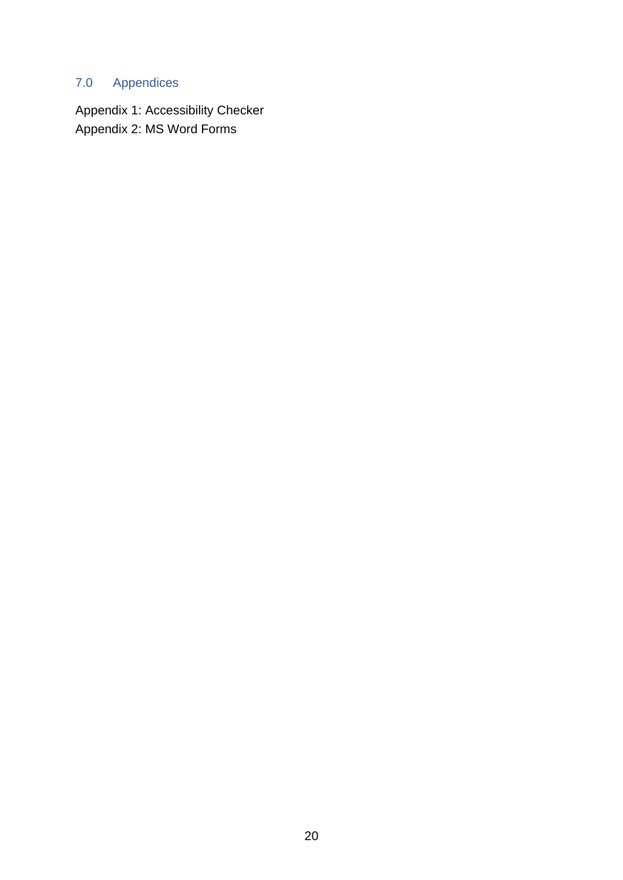# <span id="page-19-0"></span>7.0 Appendices

Appendix 1: Accessibility Checker Appendix 2: MS Word Forms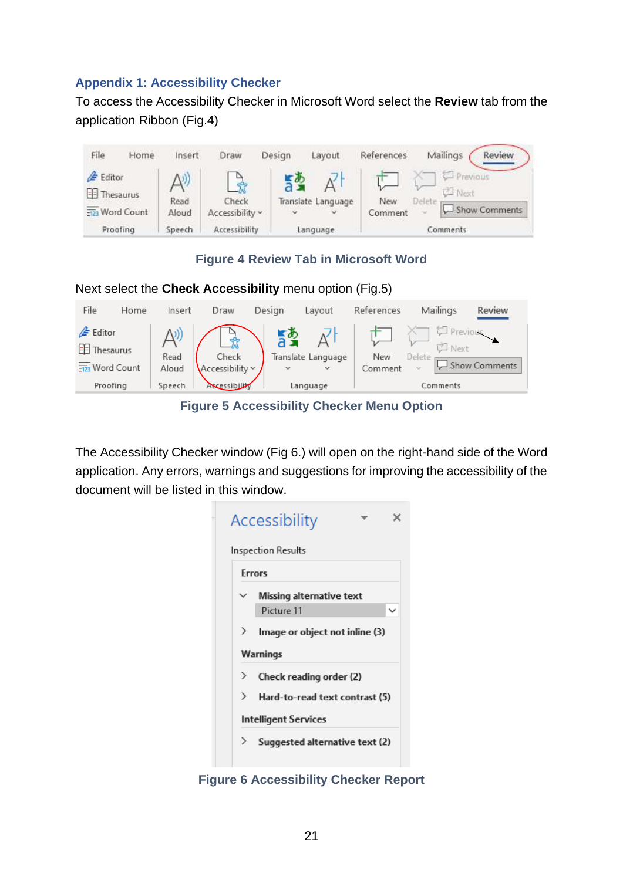## <span id="page-20-0"></span>**Appendix 1: Accessibility Checker**

To access the Accessibility Checker in Microsoft Word select the **Review** tab from the application Ribbon (Fig.4)



## **Figure 4 Review Tab in Microsoft Word**

#### Next select the **Check Accessibility** menu option (Fig.5)

| File<br>Home                | Insert | Draw                 | Design                   | Layout             | References | Mailings         | Review        |
|-----------------------------|--------|----------------------|--------------------------|--------------------|------------|------------------|---------------|
| $\mathbb{Z}$ Editor         |        |                      | $\frac{1}{2}$            |                    |            | 口 Previous       |               |
| <b>EE</b> Thesaurus         | Read   | Check                |                          | Translate Language | New        | 立 Next<br>Delete |               |
| $\frac{1}{2123}$ Word Count | Aloud  | Accessibility $\sim$ | $\overline{\phantom{a}}$ | $\mathbf{v}$       | Comment    | $\tau_{\rm eff}$ | Show Comments |
| Proofing                    | Speech | Ascessibility        |                          | Language           |            | Comments         |               |

**Figure 5 Accessibility Checker Menu Option**

The Accessibility Checker window (Fig 6.) will open on the right-hand side of the Word application. Any errors, warnings and suggestions for improving the accessibility of the document will be listed in this window.



**Figure 6 Accessibility Checker Report**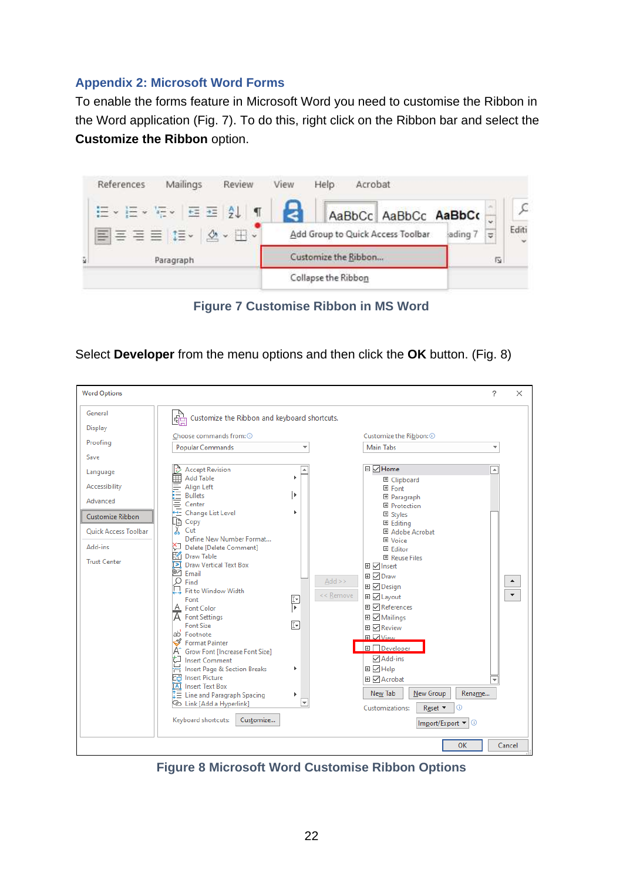#### <span id="page-21-0"></span>**Appendix 2: Microsoft Word Forms**

To enable the forms feature in Microsoft Word you need to customise the Ribbon in the Word application (Fig. 7). To do this, right click on the Ribbon bar and select the **Customize the Ribbon** option.



**Figure 7 Customise Ribbon in MS Word**

Select **Developer** from the menu options and then click the **OK** button. (Fig. 8)

| <b>Word Options</b>                                                                                                                                           |                                                                                                                                                                                                                                                                                                                                                                                                                                                                                                                                                                                                                                                                         |                          |                         |                                                                                                                                                                                                                                                                                                                                                                                                         |                  | 2                | X                        |
|---------------------------------------------------------------------------------------------------------------------------------------------------------------|-------------------------------------------------------------------------------------------------------------------------------------------------------------------------------------------------------------------------------------------------------------------------------------------------------------------------------------------------------------------------------------------------------------------------------------------------------------------------------------------------------------------------------------------------------------------------------------------------------------------------------------------------------------------------|--------------------------|-------------------------|---------------------------------------------------------------------------------------------------------------------------------------------------------------------------------------------------------------------------------------------------------------------------------------------------------------------------------------------------------------------------------------------------------|------------------|------------------|--------------------------|
| General<br>Display<br>Proofing<br>Save<br>Language<br>Accessibility<br>Advanced<br>Customize Ribbon<br>Quick Access Toolbar<br>Add-ins<br><b>Trust Center</b> | <sub>타</sub> 라 Customize the Ribbon and keyboard shortcuts.<br>Choose commands from: 1<br>Popular Commands<br><b>Accept Revision</b><br><b>Add Table</b><br>厈<br>Align Left<br>Bullets<br><del>Conter</del><br>Change List Level<br>Conter<br>[a Copy]<br>$X$ Cut<br>Define New Number Format<br>Delete [Delete Comment]<br>眧<br><b>Draw Table</b><br><b>Draw Vertical Text Box</b><br>।≂ा<br>ρz<br>Email<br>Ω<br>Find<br>Fit to Window Width<br>Font<br>A Font Color<br>A Font Settings<br><b>Font Size</b><br>ab Footnote<br>Format Painter<br>A <sup>^</sup> Grow Font [Increase Font Size]<br><b>Insert Comment</b><br><b>Insert Page &amp; Section Breaks</b><br>襾 | D.<br>Ŀ<br>¥<br>沪<br>Þ   | $Add \geq$<br><< Remove | Customize the Ribbon: 0<br>Main Tabs<br>$\Box$ Home<br>田 Clipboard<br>田 Font<br>田 Paragraph<br>田 Protection<br>田 Styles<br>田 Editing<br>田 Adobe Acrobat<br>田 Voice<br>田 Editor<br><b>田 Reuse Files</b><br>田 V Insert<br><b>⊞</b> ○ Draw<br>田 Design<br><b>⊞</b> Ø Layout<br>田 Z References<br>田 V Mailings<br><b>⊞</b> ⊘ Review<br>田 View<br>$\boxplus \Box$ Developer<br>$\sqrt{}$ Add-ins<br>田 Ø Help |                  | $\blacktriangle$ | $\overline{\phantom{a}}$ |
|                                                                                                                                                               | <b>Co</b> Insert Picture<br>A Insert Text Box                                                                                                                                                                                                                                                                                                                                                                                                                                                                                                                                                                                                                           |                          |                         | 田 Z Acrobat                                                                                                                                                                                                                                                                                                                                                                                             |                  |                  |                          |
|                                                                                                                                                               | $E \equiv$ Line and Paragraph Spacing<br>2 Link [Add a Hyperlink]<br>Keyboard shortcuts:<br>Customize                                                                                                                                                                                                                                                                                                                                                                                                                                                                                                                                                                   | $\overline{\phantom{a}}$ |                         | New Tab<br>New Group<br>Customizations:<br>Reset ▼<br>Import/Export ▼                                                                                                                                                                                                                                                                                                                                   | Rename<br>ന<br>⊕ |                  |                          |
|                                                                                                                                                               |                                                                                                                                                                                                                                                                                                                                                                                                                                                                                                                                                                                                                                                                         |                          |                         |                                                                                                                                                                                                                                                                                                                                                                                                         | <b>OK</b>        | Cancel           |                          |

**Figure 8 Microsoft Word Customise Ribbon Options**